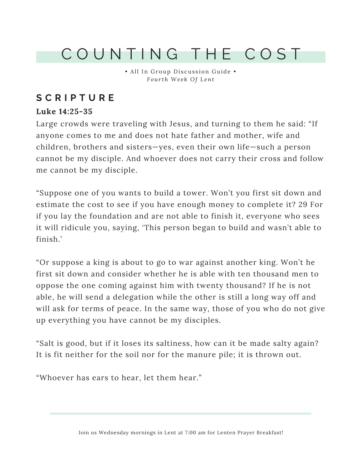## C O U N T I N G T H E C O S T

• All In Group Discussion Guide • *F our th We e k Of Lent*

### **S C R I P T U R E**

#### **Luke 14:25-35**

Large crowds were traveling with Jesus, and turning to them he said: "If anyone comes to me and does not hate father and mother, wife and children, brothers and sisters—yes, even their own life—such a person cannot be my disciple. And whoever does not carry their cross and follow me cannot be my disciple.

"Suppose one of you wants to build a tower. Won't you first sit down and estimate the cost to see if you have enough money to complete it? 29 For if you lay the foundation and are not able to finish it, everyone who sees it will ridicule you, saying, 'This person began to build and wasn't able to finish.'

"Or suppose a king is about to go to war against another king. Won't he first sit down and consider whether he is able with ten thousand men to oppose the one coming against him with twenty thousand? If he is not able, he will send a delegation while the other is still a long way off and will ask for terms of peace. In the same way, those of you who do not give up everything you have cannot be my disciples.

"Salt is good, but if it loses its saltiness, how can it be made salty again? It is fit neither for the soil nor for the manure pile; it is thrown out.

"Whoever has ears to hear, let them hear."